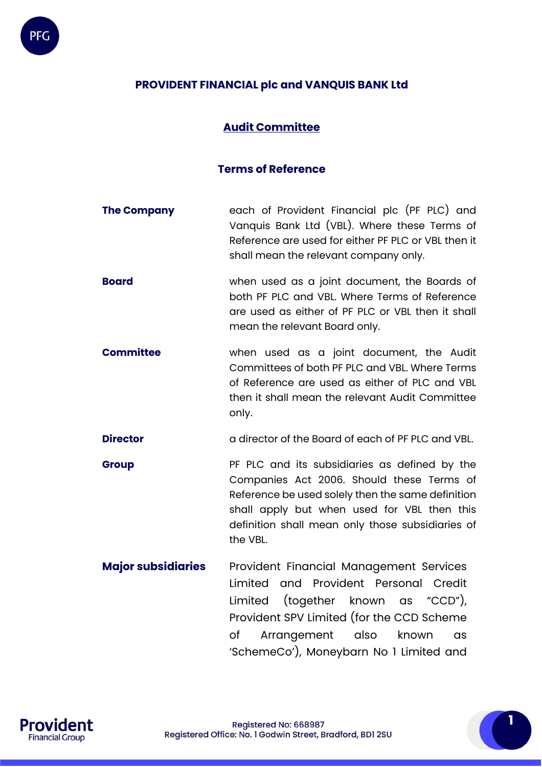

# **PROVIDENT FINANCIAL plc and VANQUIS BANK Ltd**

## **Audit Committee**

### **Terms of Reference**

- **The Company** each of Provident Financial plc (PF PLC) and Vanquis Bank Ltd (VBL). Where these Terms of Reference are used for either PF PLC or VBL then it shall mean the relevant company only.
- **Board Board when used as a joint document, the Boards of** both PF PLC and VBL. Where Terms of Reference are used as either of PF PLC or VBL then it shall mean the relevant Board only.
- **Committee** when used as a joint document, the Audit Committees of both PF PLC and VBL. Where Terms of Reference are used as either of PLC and VBL then it shall mean the relevant Audit Committee only.
- **Director a** director of the Board of each of PF PLC and VBL.
- **Group PF PLC** and its subsidiaries as defined by the Companies Act 2006. Should these Terms of Reference be used solely then the same definition shall apply but when used for VBL then this definition shall mean only those subsidiaries of the VBL.
- **Major subsidiaries** Provident Financial Management Services Limited and Provident Personal Credit Limited (together known as "CCD"), Provident SPV Limited (for the CCD Scheme of Arrangement also known as 'SchemeCo'), Moneybarn No 1 Limited and

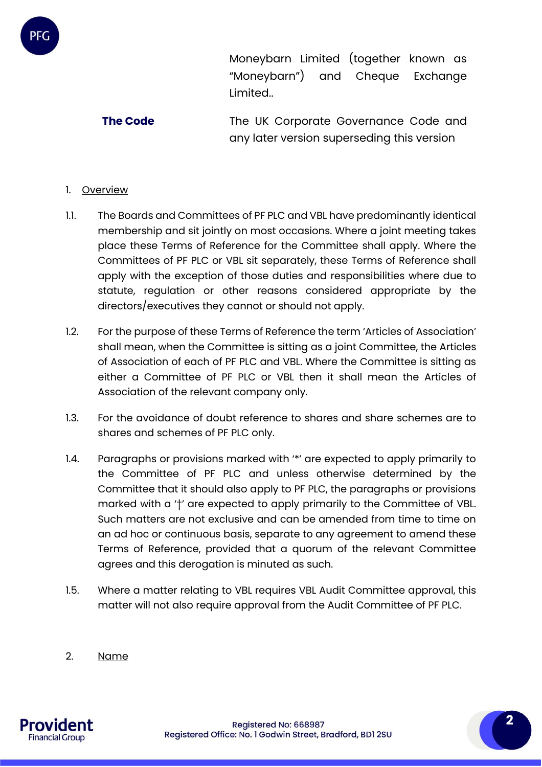

**The Code** The UK Corporate Governance Code and any later version superseding this version

### 1. Overview

- 1.1. The Boards and Committees of PF PLC and VBL have predominantly identical membership and sit jointly on most occasions. Where a joint meeting takes place these Terms of Reference for the Committee shall apply. Where the Committees of PF PLC or VBL sit separately, these Terms of Reference shall apply with the exception of those duties and responsibilities where due to statute, regulation or other reasons considered appropriate by the directors/executives they cannot or should not apply.
- 1.2. For the purpose of these Terms of Reference the term 'Articles of Association' shall mean, when the Committee is sitting as a joint Committee, the Articles of Association of each of PF PLC and VBL. Where the Committee is sitting as either a Committee of PF PLC or VBL then it shall mean the Articles of Association of the relevant company only.
- 1.3. For the avoidance of doubt reference to shares and share schemes are to shares and schemes of PF PLC only.
- 1.4. Paragraphs or provisions marked with '\*' are expected to apply primarily to the Committee of PF PLC and unless otherwise determined by the Committee that it should also apply to PF PLC, the paragraphs or provisions marked with a '†' are expected to apply primarily to the Committee of VBL. Such matters are not exclusive and can be amended from time to time on an ad hoc or continuous basis, separate to any agreement to amend these Terms of Reference, provided that a quorum of the relevant Committee agrees and this derogation is minuted as such.
- 1.5. Where a matter relating to VBL requires VBL Audit Committee approval, this matter will not also require approval from the Audit Committee of PF PLC.
- 2. Name

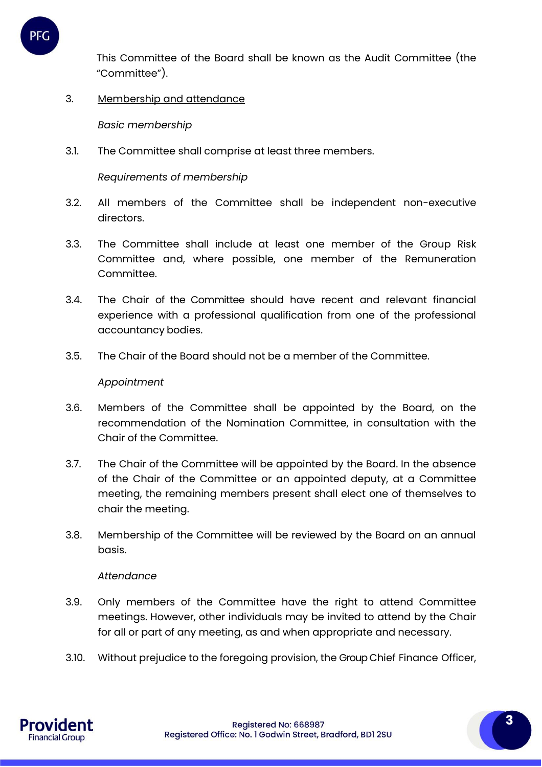

This Committee of the Board shall be known as the Audit Committee (the "Committee").

3. Membership and attendance

*Basic membership*

3.1. The Committee shall comprise at least three members.

*Requirements of membership*

- 3.2. All members of the Committee shall be independent non-executive directors.
- 3.3. The Committee shall include at least one member of the Group Risk Committee and, where possible, one member of the Remuneration Committee.
- 3.4. The Chair of the Committee should have recent and relevant financial experience with a professional qualification from one of the professional accountancy bodies.
- 3.5. The Chair of the Board should not be a member of the Committee.

#### *Appointment*

- 3.6. Members of the Committee shall be appointed by the Board, on the recommendation of the Nomination Committee, in consultation with the Chair of the Committee.
- 3.7. The Chair of the Committee will be appointed by the Board. In the absence of the Chair of the Committee or an appointed deputy, at a Committee meeting, the remaining members present shall elect one of themselves to chair the meeting.
- 3.8. Membership of the Committee will be reviewed by the Board on an annual basis.

#### *Attendance*

- 3.9. Only members of the Committee have the right to attend Committee meetings. However, other individuals may be invited to attend by the Chair for all or part of any meeting, as and when appropriate and necessary.
- 3.10. Without prejudice to the foregoing provision, the Group Chief Finance Officer,

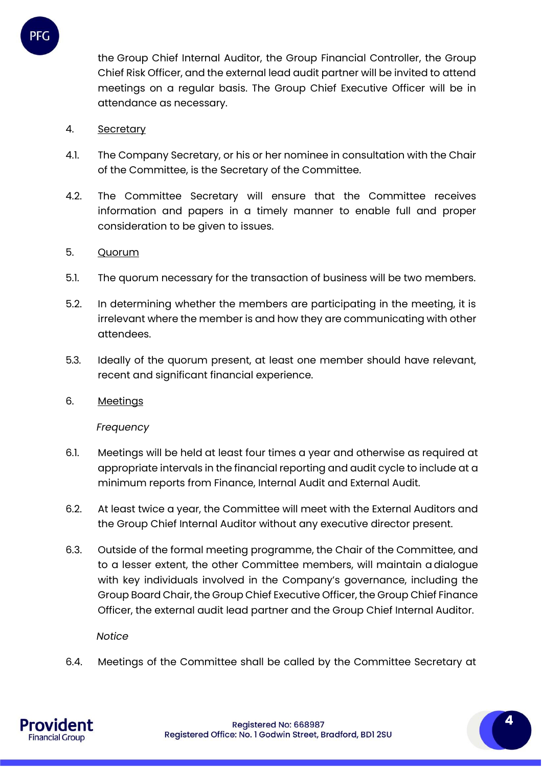

the Group Chief Internal Auditor, the Group Financial Controller, the Group Chief Risk Officer, and the external lead audit partner will be invited to attend meetings on a regular basis. The Group Chief Executive Officer will be in attendance as necessary.

### 4. Secretary

- 4.1. The Company Secretary, or his or her nominee in consultation with the Chair of the Committee, is the Secretary of the Committee.
- 4.2. The Committee Secretary will ensure that the Committee receives information and papers in a timely manner to enable full and proper consideration to be given to issues.

### 5. Quorum

- 5.1. The quorum necessary for the transaction of business will be two members.
- 5.2. In determining whether the members are participating in the meeting, it is irrelevant where the member is and how they are communicating with other attendees.
- 5.3. Ideally of the quorum present, at least one member should have relevant, recent and significant financial experience.
- 6. Meetings

*Frequency*

- 6.1. Meetings will be held at least four times a year and otherwise as required at appropriate intervals in the financial reporting and audit cycle to include at a minimum reports from Finance, Internal Audit and External Audit.
- 6.2. At least twice a year, the Committee will meet with the External Auditors and the Group Chief Internal Auditor without any executive director present.
- 6.3. Outside of the formal meeting programme, the Chair of the Committee, and to a lesser extent, the other Committee members, will maintain a dialogue with key individuals involved in the Company's governance, including the Group Board Chair, the Group Chief Executive Officer, the Group Chief Finance Officer, the external audit lead partner and the Group Chief Internal Auditor.

*Notice*

6.4. Meetings of the Committee shall be called by the Committee Secretary at

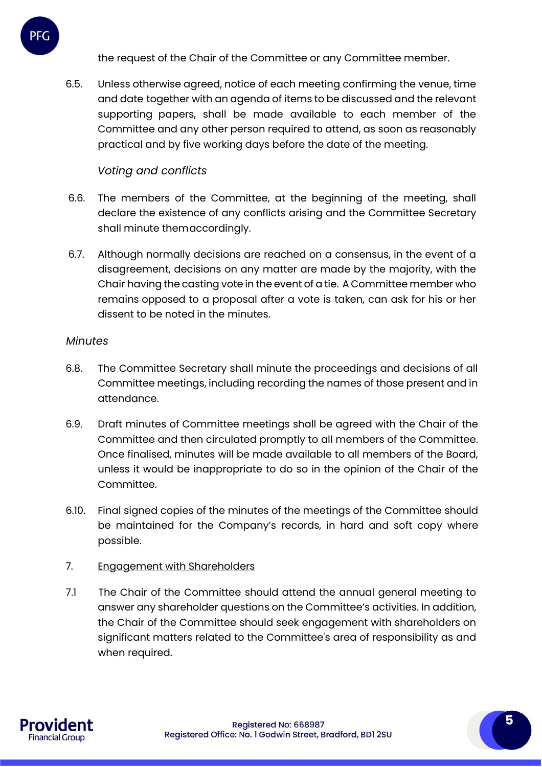the request of the Chair of the Committee or any Committee member.

6.5. Unless otherwise agreed, notice of each meeting confirming the venue, time and date together with an agenda of items to be discussed and the relevant supporting papers, shall be made available to each member of the Committee and any other person required to attend, as soon as reasonably practical and by five working days before the date of the meeting.

# *Voting and conflicts*

- 6.6. The members of the Committee, at the beginning of the meeting, shall declare the existence of any conflicts arising and the Committee Secretary shall minute themaccordingly.
- 6.7. Although normally decisions are reached on a consensus, in the event of a disagreement, decisions on any matter are made by the majority, with the Chair having the casting vote in the event of a tie. A Committee member who remains opposed to a proposal after a vote is taken, can ask for his or her dissent to be noted in the minutes.

# *Minutes*

PFC

- 6.8. The Committee Secretary shall minute the proceedings and decisions of all Committee meetings, including recording the names of those present and in attendance.
- 6.9. Draft minutes of Committee meetings shall be agreed with the Chair of the Committee and then circulated promptly to all members of the Committee. Once finalised, minutes will be made available to all members of the Board, unless it would be inappropriate to do so in the opinion of the Chair of the Committee.
- 6.10. Final signed copies of the minutes of the meetings of the Committee should be maintained for the Company's records, in hard and soft copy where possible.

# 7. Engagement with Shareholders

7.1 The Chair of the Committee should attend the annual general meeting to answer any shareholder questions on the Committee's activities. In addition, the Chair of the Committee should seek engagement with shareholders on significant matters related to the Committee's area of responsibility as and when required.

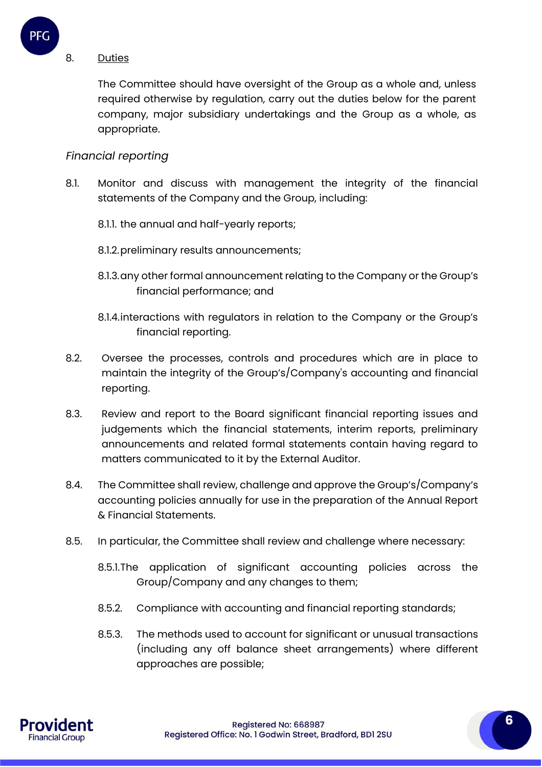

#### 8. Duties

The Committee should have oversight of the Group as a whole and, unless required otherwise by regulation, carry out the duties below for the parent company, major subsidiary undertakings and the Group as a whole, as appropriate.

## *Financial reporting*

- 8.1. Monitor and discuss with management the integrity of the financial statements of the Company and the Group, including:
	- 8.1.1. the annual and half-yearly reports;
	- 8.1.2.preliminary results announcements;
	- 8.1.3.any other formal announcement relating to the Company or the Group's financial performance; and
	- 8.1.4.interactions with regulators in relation to the Company or the Group's financial reporting.
- 8.2. Oversee the processes, controls and procedures which are in place to maintain the integrity of the Group's/Company's accounting and financial reporting.
- 8.3. Review and report to the Board significant financial reporting issues and judgements which the financial statements, interim reports, preliminary announcements and related formal statements contain having regard to matters communicated to it by the External Auditor.
- 8.4. The Committee shall review, challenge and approve the Group's/Company's accounting policies annually for use in the preparation of the Annual Report & Financial Statements.
- 8.5. In particular, the Committee shall review and challenge where necessary:
	- 8.5.1.The application of significant accounting policies across the Group/Company and any changes to them;
	- 8.5.2. Compliance with accounting and financial reporting standards;
	- 8.5.3. The methods used to account for significant or unusual transactions (including any off balance sheet arrangements) where different approaches are possible;

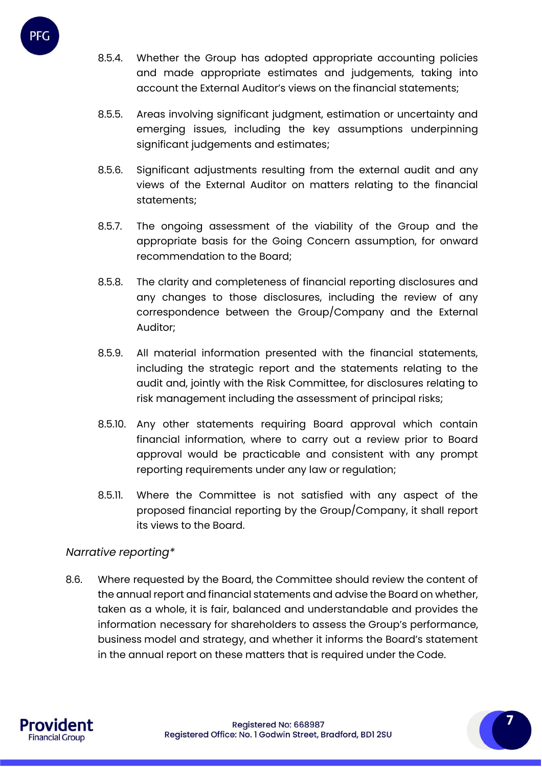

- 8.5.4. Whether the Group has adopted appropriate accounting policies and made appropriate estimates and judgements, taking into account the External Auditor's views on the financial statements;
- 8.5.5. Areas involving significant judgment, estimation or uncertainty and emerging issues, including the key assumptions underpinning significant judgements and estimates;
- 8.5.6. Significant adjustments resulting from the external audit and any views of the External Auditor on matters relating to the financial statements;
- 8.5.7. The ongoing assessment of the viability of the Group and the appropriate basis for the Going Concern assumption, for onward recommendation to the Board;
- 8.5.8. The clarity and completeness of financial reporting disclosures and any changes to those disclosures, including the review of any correspondence between the Group/Company and the External Auditor;
- 8.5.9. All material information presented with the financial statements, including the strategic report and the statements relating to the audit and, jointly with the Risk Committee, for disclosures relating to risk management including the assessment of principal risks;
- 8.5.10. Any other statements requiring Board approval which contain financial information, where to carry out a review prior to Board approval would be practicable and consistent with any prompt reporting requirements under any law or regulation;
- 8.5.11. Where the Committee is not satisfied with any aspect of the proposed financial reporting by the Group/Company, it shall report its views to the Board.

# *Narrative reporting\**

8.6. Where requested by the Board, the Committee should review the content of the annual report and financial statements and advise the Board on whether, taken as a whole, it is fair, balanced and understandable and provides the information necessary for shareholders to assess the Group's performance, business model and strategy, and whether it informs the Board's statement in the annual report on these matters that is required under the Code.

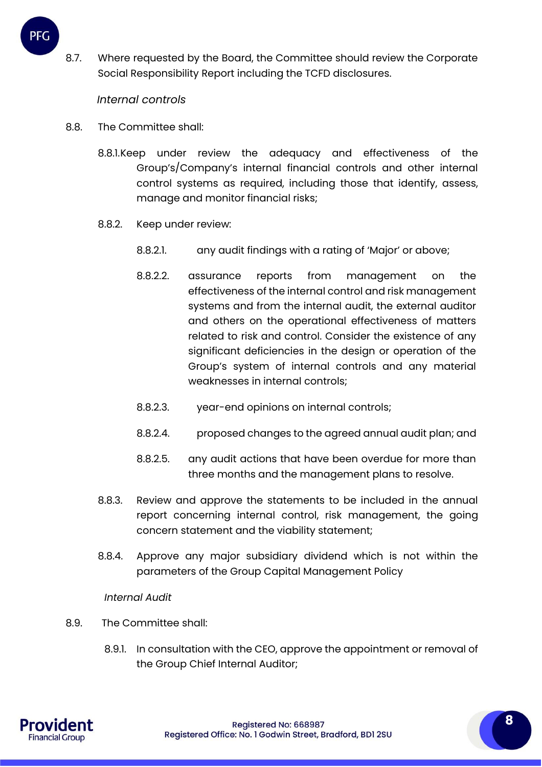

8.7. Where requested by the Board, the Committee should review the Corporate Social Responsibility Report including the TCFD disclosures.

### *Internal controls*

- 8.8. The Committee shall:
	- 8.8.1.Keep under review the adequacy and effectiveness of the Group's/Company's internal financial controls and other internal control systems as required, including those that identify, assess, manage and monitor financial risks;
	- 8.8.2. Keep under review:
		- 8.8.2.1. any audit findings with a rating of 'Major' or above;
		- 8.8.2.2. assurance reports from management on the effectiveness of the internal control and risk management systems and from the internal audit, the external auditor and others on the operational effectiveness of matters related to risk and control. Consider the existence of any significant deficiencies in the design or operation of the Group's system of internal controls and any material weaknesses in internal controls;
		- 8.8.2.3. year-end opinions on internal controls;
		- 8.8.2.4. proposed changes to the agreed annual audit plan; and
		- 8.8.2.5. any audit actions that have been overdue for more than three months and the management plans to resolve.
	- 8.8.3. Review and approve the statements to be included in the annual report concerning internal control, risk management, the going concern statement and the viability statement;
	- 8.8.4. Approve any major subsidiary dividend which is not within the parameters of the Group Capital Management Policy

#### *Internal Audit*

- 8.9. The Committee shall:
	- 8.9.1. In consultation with the CEO, approve the appointment or removal of the Group Chief Internal Auditor;

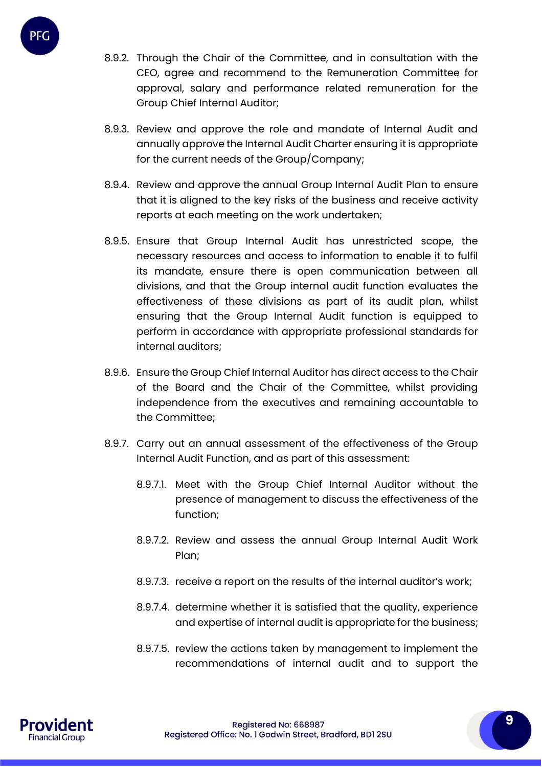

- 8.9.2. Through the Chair of the Committee, and in consultation with the CEO, agree and recommend to the Remuneration Committee for approval, salary and performance related remuneration for the Group Chief Internal Auditor;
- 8.9.3. Review and approve the role and mandate of Internal Audit and annually approve the Internal Audit Charter ensuring it is appropriate for the current needs of the Group/Company;
- 8.9.4. Review and approve the annual Group Internal Audit Plan to ensure that it is aligned to the key risks of the business and receive activity reports at each meeting on the work undertaken;
- 8.9.5. Ensure that Group Internal Audit has unrestricted scope, the necessary resources and access to information to enable it to fulfil its mandate, ensure there is open communication between all divisions, and that the Group internal audit function evaluates the effectiveness of these divisions as part of its audit plan, whilst ensuring that the Group Internal Audit function is equipped to perform in accordance with appropriate professional standards for internal auditors;
- 8.9.6. Ensure the Group Chief Internal Auditor has direct access to the Chair of the Board and the Chair of the Committee, whilst providing independence from the executives and remaining accountable to the Committee;
- 8.9.7. Carry out an annual assessment of the effectiveness of the Group Internal Audit Function, and as part of this assessment:
	- 8.9.7.1. Meet with the Group Chief Internal Auditor without the presence of management to discuss the effectiveness of the function;
	- 8.9.7.2. Review and assess the annual Group Internal Audit Work Plan;
	- 8.9.7.3. receive a report on the results of the internal auditor's work;
	- 8.9.7.4. determine whether it is satisfied that the quality, experience and expertise of internal audit is appropriate for the business;
	- 8.9.7.5. review the actions taken by management to implement the recommendations of internal audit and to support the

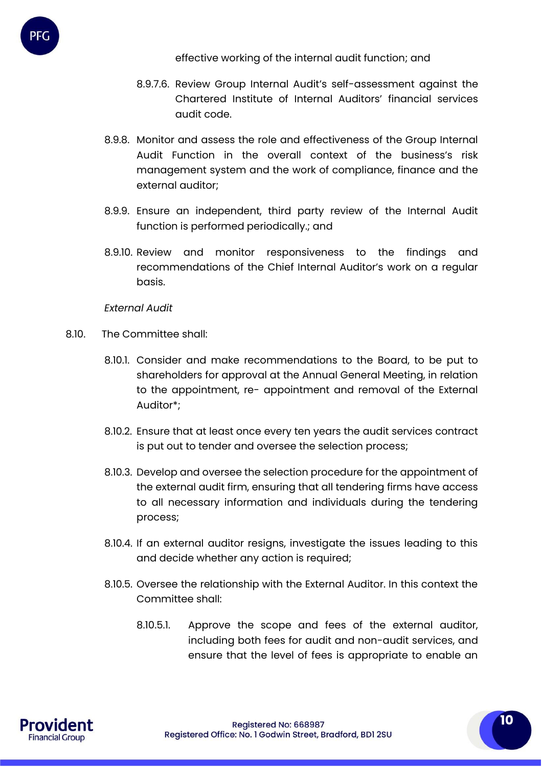- 8.9.7.6. Review Group Internal Audit's self-assessment against the Chartered Institute of Internal Auditors' financial services audit code.
- 8.9.8. Monitor and assess the role and effectiveness of the Group Internal Audit Function in the overall context of the business's risk management system and the work of compliance, finance and the external auditor;
- 8.9.9. Ensure an independent, third party review of the Internal Audit function is performed periodically.; and
- 8.9.10. Review and monitor responsiveness to the findings and recommendations of the Chief Internal Auditor's work on a regular basis.

*External Audit*

- 8.10. The Committee shall:
	- 8.10.1. Consider and make recommendations to the Board, to be put to shareholders for approval at the Annual General Meeting, in relation to the appointment, re- appointment and removal of the External Auditor\*;
	- 8.10.2. Ensure that at least once every ten years the audit services contract is put out to tender and oversee the selection process;
	- 8.10.3. Develop and oversee the selection procedure for the appointment of the external audit firm, ensuring that all tendering firms have access to all necessary information and individuals during the tendering process;
	- 8.10.4. If an external auditor resigns, investigate the issues leading to this and decide whether any action is required;
	- 8.10.5. Oversee the relationship with the External Auditor. In this context the Committee shall:
		- 8.10.5.1. Approve the scope and fees of the external auditor, including both fees for audit and non-audit services, and ensure that the level of fees is appropriate to enable an

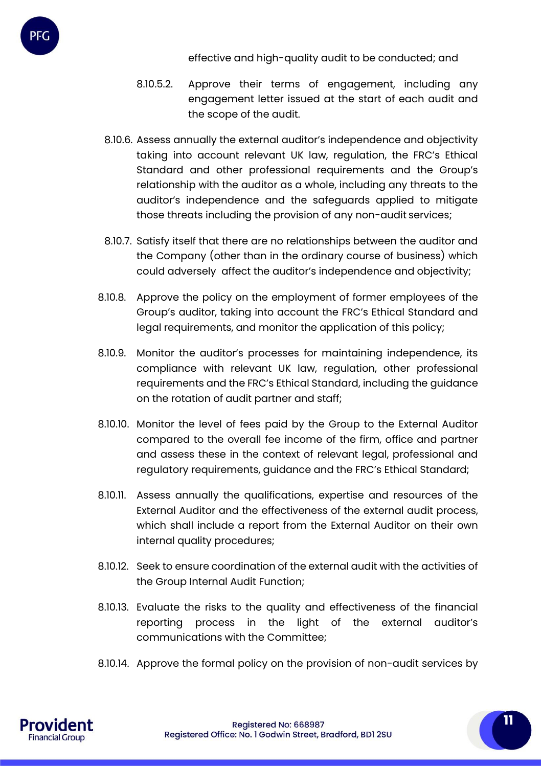- 8.10.5.2. Approve their terms of engagement, including any engagement letter issued at the start of each audit and the scope of the audit.
- 8.10.6. Assess annually the external auditor's independence and objectivity taking into account relevant UK law, regulation, the FRC's Ethical Standard and other professional requirements and the Group's relationship with the auditor as a whole, including any threats to the auditor's independence and the safeguards applied to mitigate those threats including the provision of any non-audit services;
- 8.10.7. Satisfy itself that there are no relationships between the auditor and the Company (other than in the ordinary course of business) which could adversely affect the auditor's independence and objectivity;
- 8.10.8. Approve the policy on the employment of former employees of the Group's auditor, taking into account the FRC's Ethical Standard and legal requirements, and monitor the application of this policy;
- 8.10.9. Monitor the auditor's processes for maintaining independence, its compliance with relevant UK law, regulation, other professional requirements and the FRC's Ethical Standard, including the guidance on the rotation of audit partner and staff;
- 8.10.10. Monitor the level of fees paid by the Group to the External Auditor compared to the overall fee income of the firm, office and partner and assess these in the context of relevant legal, professional and regulatory requirements, guidance and the FRC's Ethical Standard;
- 8.10.11. Assess annually the qualifications, expertise and resources of the External Auditor and the effectiveness of the external audit process, which shall include a report from the External Auditor on their own internal quality procedures;
- 8.10.12. Seek to ensure coordination of the external audit with the activities of the Group Internal Audit Function;
- 8.10.13. Evaluate the risks to the quality and effectiveness of the financial reporting process in the light of the external auditor's communications with the Committee;
- 8.10.14. Approve the formal policy on the provision of non-audit services by

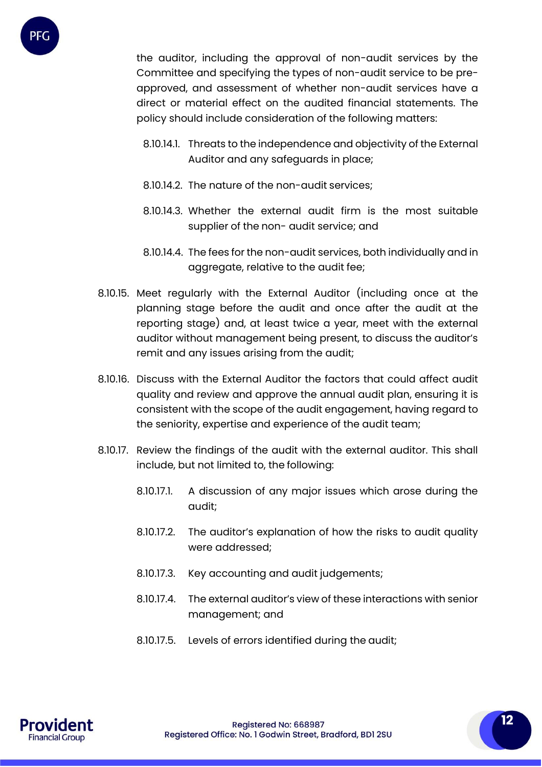

the auditor, including the approval of non-audit services by the Committee and specifying the types of non-audit service to be preapproved, and assessment of whether non-audit services have a direct or material effect on the audited financial statements. The policy should include consideration of the following matters:

- 8.10.14.1. Threats to the independence and objectivity of the External Auditor and any safeguards in place;
- 8.10.14.2. The nature of the non-audit services;
- 8.10.14.3. Whether the external audit firm is the most suitable supplier of the non- audit service; and
- 8.10.14.4. The fees for the non-audit services, both individually and in aggregate, relative to the audit fee;
- 8.10.15. Meet regularly with the External Auditor (including once at the planning stage before the audit and once after the audit at the reporting stage) and, at least twice a year, meet with the external auditor without management being present, to discuss the auditor's remit and any issues arising from the audit;
- 8.10.16. Discuss with the External Auditor the factors that could affect audit quality and review and approve the annual audit plan, ensuring it is consistent with the scope of the audit engagement, having regard to the seniority, expertise and experience of the audit team;
- 8.10.17. Review the findings of the audit with the external auditor. This shall include, but not limited to, the following:
	- 8.10.17.1. A discussion of any major issues which arose during the audit;
	- 8.10.17.2. The auditor's explanation of how the risks to audit quality were addressed;
	- 8.10.17.3. Key accounting and audit judgements;
	- 8.10.17.4. The external auditor's view of these interactions with senior management; and
	- 8.10.17.5. Levels of errors identified during the audit;

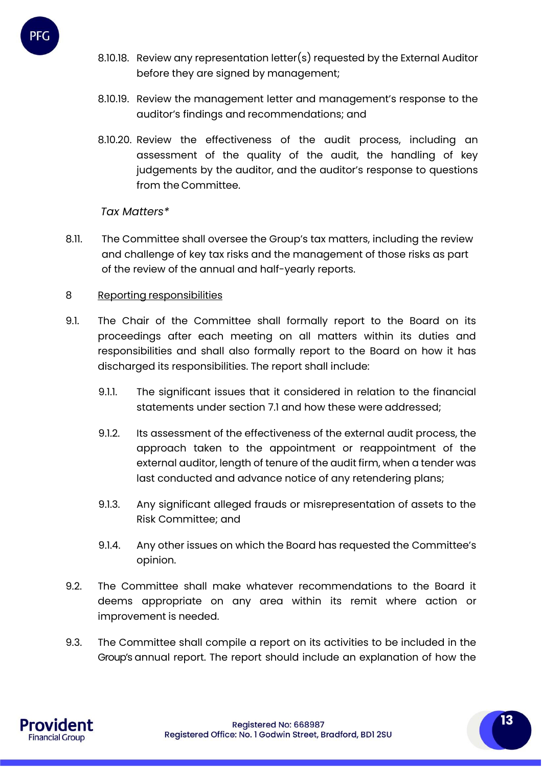

- 8.10.18. Review any representation letter(s) requested by the External Auditor before they are signed by management;
- 8.10.19. Review the management letter and management's response to the auditor's findings and recommendations; and
- 8.10.20. Review the effectiveness of the audit process, including an assessment of the quality of the audit, the handling of key judgements by the auditor, and the auditor's response to questions from the Committee.

## *Tax Matters\**

8.11. The Committee shall oversee the Group's tax matters, including the review and challenge of key tax risks and the management of those risks as part of the review of the annual and half-yearly reports.

## 8 Reporting responsibilities

- 9.1. The Chair of the Committee shall formally report to the Board on its proceedings after each meeting on all matters within its duties and responsibilities and shall also formally report to the Board on how it has discharged its responsibilities. The report shall include:
	- 9.1.1. The significant issues that it considered in relation to the financial statements under section 7.1 and how these were addressed;
	- 9.1.2. Its assessment of the effectiveness of the external audit process, the approach taken to the appointment or reappointment of the external auditor, length of tenure of the audit firm, when a tender was last conducted and advance notice of any retendering plans;
	- 9.1.3. Any significant alleged frauds or misrepresentation of assets to the Risk Committee; and
	- 9.1.4. Any other issues on which the Board has requested the Committee's opinion.
- 9.2. The Committee shall make whatever recommendations to the Board it deems appropriate on any area within its remit where action or improvement is needed.
- 9.3. The Committee shall compile a report on its activities to be included in the Group's annual report. The report should include an explanation of how the

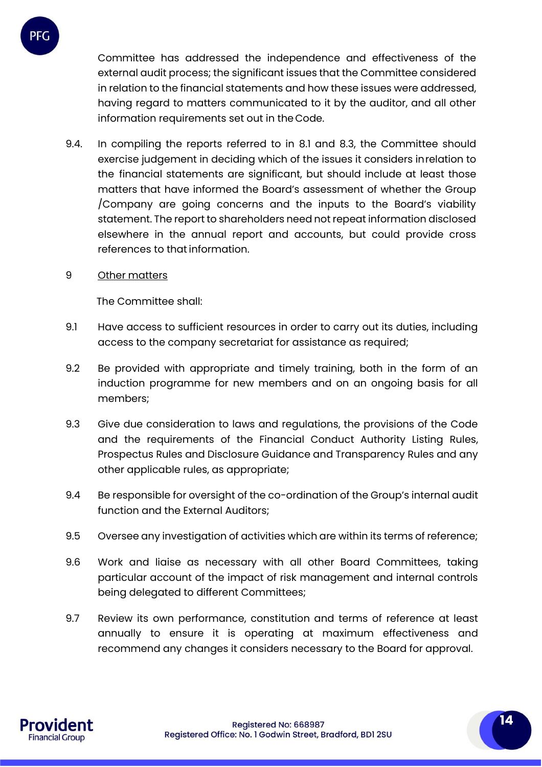

Committee has addressed the independence and effectiveness of the external audit process; the significant issues that the Committee considered in relation to the financial statements and how these issues were addressed, having regard to matters communicated to it by the auditor, and all other information requirements set out in theCode.

- 9.4. In compiling the reports referred to in 8.1 and 8.3, the Committee should exercise judgement in deciding which of the issues it considers inrelation to the financial statements are significant, but should include at least those matters that have informed the Board's assessment of whether the Group /Company are going concerns and the inputs to the Board's viability statement. The report to shareholders need not repeat information disclosed elsewhere in the annual report and accounts, but could provide cross references to that information.
- 9 Other matters

The Committee shall:

- 9.1 Have access to sufficient resources in order to carry out its duties, including access to the company secretariat for assistance as required;
- 9.2 Be provided with appropriate and timely training, both in the form of an induction programme for new members and on an ongoing basis for all members;
- 9.3 Give due consideration to laws and regulations, the provisions of the Code and the requirements of the Financial Conduct Authority Listing Rules, Prospectus Rules and Disclosure Guidance and Transparency Rules and any other applicable rules, as appropriate;
- 9.4 Be responsible for oversight of the co-ordination of the Group's internal audit function and the External Auditors;
- 9.5 Oversee any investigation of activities which are within its terms of reference;
- 9.6 Work and liaise as necessary with all other Board Committees, taking particular account of the impact of risk management and internal controls being delegated to different Committees;
- 9.7 Review its own performance, constitution and terms of reference at least annually to ensure it is operating at maximum effectiveness and recommend any changes it considers necessary to the Board for approval.

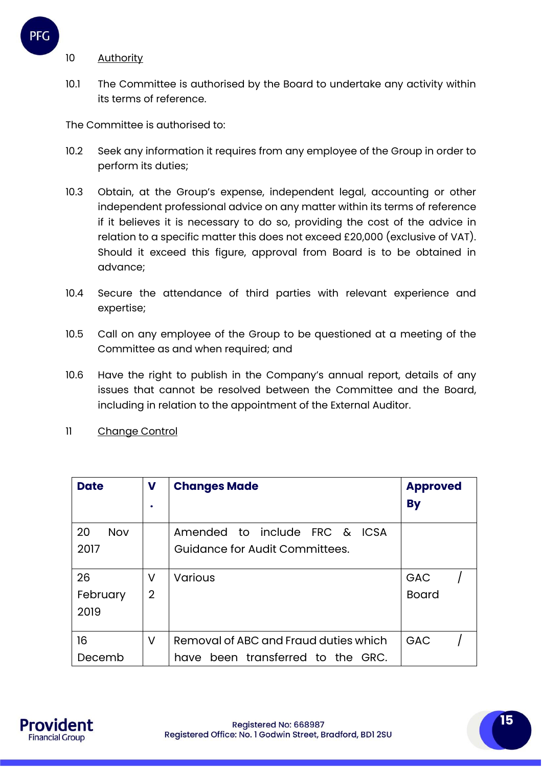

#### 10 Authority

10.1 The Committee is authorised by the Board to undertake any activity within its terms of reference.

The Committee is authorised to:

- 10.2 Seek any information it requires from any employee of the Group in order to perform its duties;
- 10.3 Obtain, at the Group's expense, independent legal, accounting or other independent professional advice on any matter within its terms of reference if it believes it is necessary to do so, providing the cost of the advice in relation to a specific matter this does not exceed £20,000 (exclusive of VAT). Should it exceed this figure, approval from Board is to be obtained in advance;
- 10.4 Secure the attendance of third parties with relevant experience and expertise;
- 10.5 Call on any employee of the Group to be questioned at a meeting of the Committee as and when required; and
- 10.6 Have the right to publish in the Company's annual report, details of any issues that cannot be resolved between the Committee and the Board, including in relation to the appointment of the External Auditor.
- 11 Change Control

| <b>Date</b>      | V              | <b>Changes Made</b>                   | <b>Approved</b><br><b>By</b> |
|------------------|----------------|---------------------------------------|------------------------------|
|                  |                |                                       |                              |
| 20<br><b>Nov</b> |                | Amended to include FRC & ICSA         |                              |
| 2017             |                | Guidance for Audit Committees.        |                              |
|                  |                |                                       |                              |
| 26               | v              | <b>Various</b>                        | GAC                          |
| February         | $\overline{2}$ |                                       | <b>Board</b>                 |
| 2019             |                |                                       |                              |
|                  |                |                                       |                              |
| 16               | V              | Removal of ABC and Fraud duties which | GAC                          |
| Decemb           |                | have been transferred to the GRC.     |                              |